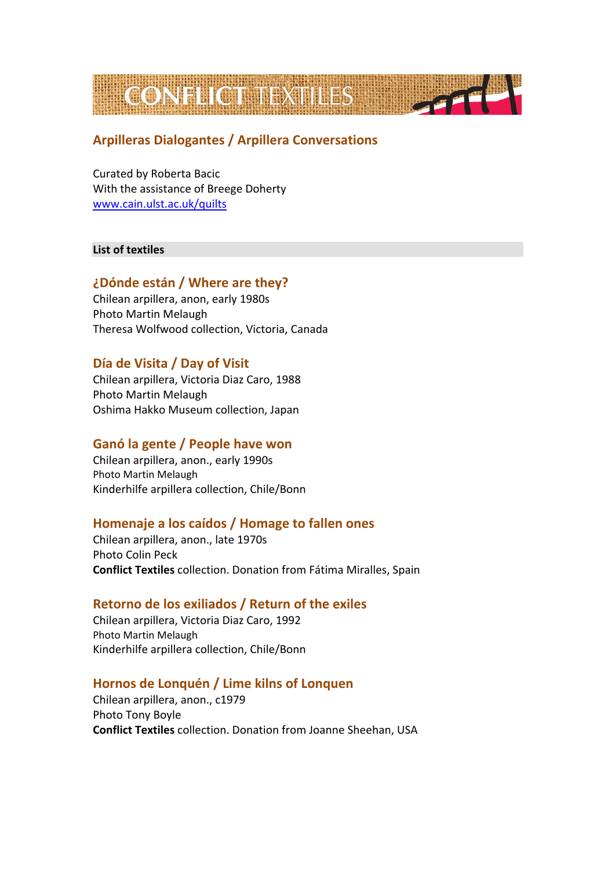

# **Arpilleras Dialogantes / Arpillera Conversations**

Curated by Roberta Bacic With the assistance of Breege Doherty [www.cain.ulst.ac.uk/quilts](http://www.cain.ulst.ac.uk/quilts)

#### **List of textiles**

# **¿Dónde están / Where are they?**

Chilean arpillera, anon, early 1980s Photo Martin Melaugh Theresa Wolfwood collection, Victoria, Canada

# **Día de Visita / Day of Visit**

Chilean arpillera, Victoria Diaz Caro, 1988 Photo Martin Melaugh Oshima Hakko Museum collection, Japan

### **Ganó la gente / People have won**

Chilean arpillera, anon., early 1990s Photo Martin Melaugh Kinderhilfe arpillera collection, Chile/Bonn

### **Homenaje a los caídos / Homage to fallen ones**

Chilean arpillera, anon., late 1970s Photo Colin Peck **Conflict Textiles** collection. Donation from Fátima Miralles, Spain

### **Retorno de los exiliados / Return of the exiles**

Chilean arpillera, Victoria Diaz Caro, 1992 Photo Martin Melaugh Kinderhilfe arpillera collection, Chile/Bonn

### **Hornos de Lonquén / Lime kilns of Lonquen**

Chilean arpillera, anon., c1979 Photo Tony Boyle **Conflict Textiles** collection. Donation from Joanne Sheehan, USA